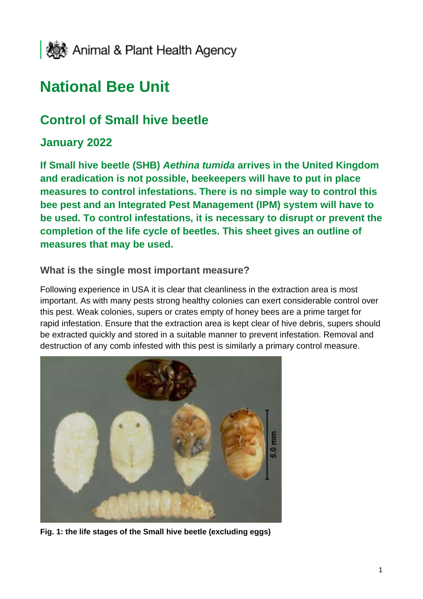

# **National Bee Unit**

## **Control of Small hive beetle**

### **January 2022**

**If Small hive beetle (SHB)** *Aethina tumida* **arrives in the United Kingdom and eradication is not possible, beekeepers will have to put in place measures to control infestations. There is no simple way to control this bee pest and an Integrated Pest Management (IPM) system will have to be used. To control infestations, it is necessary to disrupt or prevent the completion of the life cycle of beetles. This sheet gives an outline of measures that may be used.**

### **What is the single most important measure?**

Following experience in USA it is clear that cleanliness in the extraction area is most important. As with many pests strong healthy colonies can exert considerable control over this pest. Weak colonies, supers or crates empty of honey bees are a prime target for rapid infestation. Ensure that the extraction area is kept clear of hive debris, supers should be extracted quickly and stored in a suitable manner to prevent infestation. Removal and destruction of any comb infested with this pest is similarly a primary control measure.



**Fig. 1: the life stages of the Small hive beetle (excluding eggs)**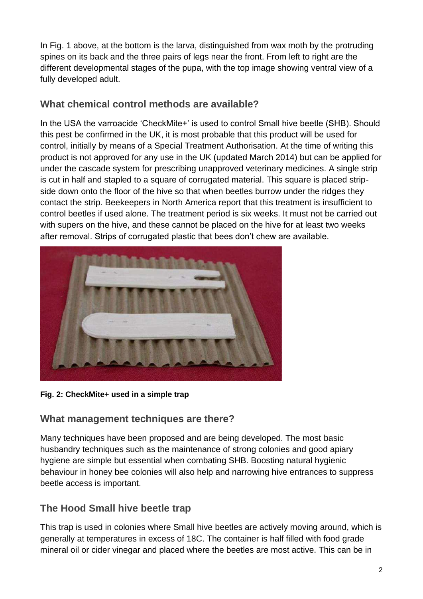In Fig. 1 above, at the bottom is the larva, distinguished from wax moth by the protruding spines on its back and the three pairs of legs near the front. From left to right are the different developmental stages of the pupa, with the top image showing ventral view of a fully developed adult.

### **What chemical control methods are available?**

In the USA the varroacide 'CheckMite+' is used to control Small hive beetle (SHB). Should this pest be confirmed in the UK, it is most probable that this product will be used for control, initially by means of a Special Treatment Authorisation. At the time of writing this product is not approved for any use in the UK (updated March 2014) but can be applied for under the cascade system for prescribing unapproved veterinary medicines. A single strip is cut in half and stapled to a square of corrugated material. This square is placed stripside down onto the floor of the hive so that when beetles burrow under the ridges they contact the strip. Beekeepers in North America report that this treatment is insufficient to control beetles if used alone. The treatment period is six weeks. It must not be carried out with supers on the hive, and these cannot be placed on the hive for at least two weeks after removal. Strips of corrugated plastic that bees don't chew are available.



**Fig. 2: CheckMite+ used in a simple trap**

### **What management techniques are there?**

Many techniques have been proposed and are being developed. The most basic husbandry techniques such as the maintenance of strong colonies and good apiary hygiene are simple but essential when combating SHB. Boosting natural hygienic behaviour in honey bee colonies will also help and narrowing hive entrances to suppress beetle access is important.

### **The Hood Small hive beetle trap**

This trap is used in colonies where Small hive beetles are actively moving around, which is generally at temperatures in excess of 18C. The container is half filled with food grade mineral oil or cider vinegar and placed where the beetles are most active. This can be in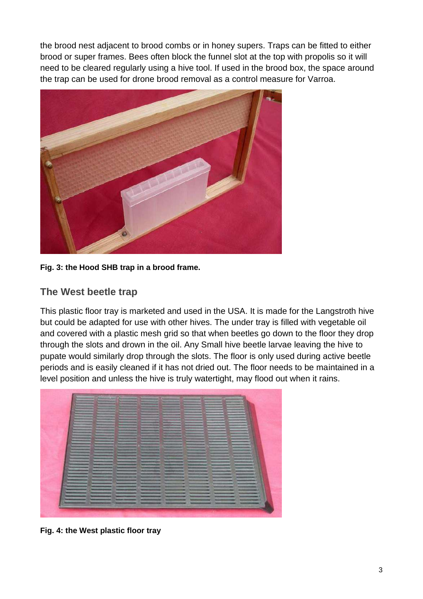the brood nest adjacent to brood combs or in honey supers. Traps can be fitted to either brood or super frames. Bees often block the funnel slot at the top with propolis so it will need to be cleared regularly using a hive tool. If used in the brood box, the space around the trap can be used for drone brood removal as a control measure for Varroa.



**Fig. 3: the Hood SHB trap in a brood frame.**

### **The West beetle trap**

This plastic floor tray is marketed and used in the USA. It is made for the Langstroth hive but could be adapted for use with other hives. The under tray is filled with vegetable oil and covered with a plastic mesh grid so that when beetles go down to the floor they drop through the slots and drown in the oil. Any Small hive beetle larvae leaving the hive to pupate would similarly drop through the slots. The floor is only used during active beetle periods and is easily cleaned if it has not dried out. The floor needs to be maintained in a level position and unless the hive is truly watertight, may flood out when it rains.



**Fig. 4: the West plastic floor tray**